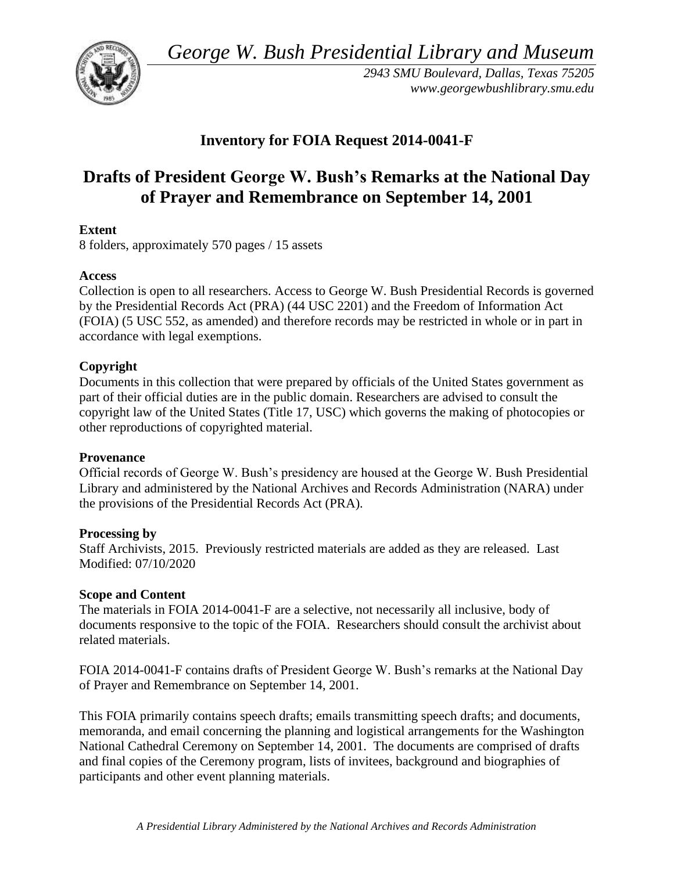*George W. Bush Presidential Library and Museum* 



*2943 SMU Boulevard, Dallas, Texas 75205 <www.georgewbushlibrary.smu.edu>*

# **Inventory for FOIA Request 2014-0041-F**

# **Drafts of President George W. Bush's Remarks at the National Day of Prayer and Remembrance on September 14, 2001**

# **Extent**

8 folders, approximately 570 pages / 15 assets

### **Access**

Collection is open to all researchers. Access to George W. Bush Presidential Records is governed by the Presidential Records Act (PRA) (44 USC 2201) and the Freedom of Information Act (FOIA) (5 USC 552, as amended) and therefore records may be restricted in whole or in part in accordance with legal exemptions.

# **Copyright**

Documents in this collection that were prepared by officials of the United States government as part of their official duties are in the public domain. Researchers are advised to consult the copyright law of the United States (Title 17, USC) which governs the making of photocopies or other reproductions of copyrighted material.

### **Provenance**

 Official records of George W. Bush's presidency are housed at the George W. Bush Presidential Library and administered by the National Archives and Records Administration (NARA) under the provisions of the Presidential Records Act (PRA).

### **Processing by**

Staff Archivists, 2015. Previously restricted materials are added as they are released. Last Modified: 07/10/2020

### **Scope and Content**

 The materials in FOIA 2014-0041-F are a selective, not necessarily all inclusive, body of documents responsive to the topic of the FOIA. Researchers should consult the archivist about related materials.

FOIA 2014-0041-F contains drafts of President George W. Bush's remarks at the National Day of Prayer and Remembrance on September 14, 2001.

 National Cathedral Ceremony on September 14, 2001. The documents are comprised of drafts This FOIA primarily contains speech drafts; emails transmitting speech drafts; and documents, memoranda, and email concerning the planning and logistical arrangements for the Washington and final copies of the Ceremony program, lists of invitees, background and biographies of participants and other event planning materials.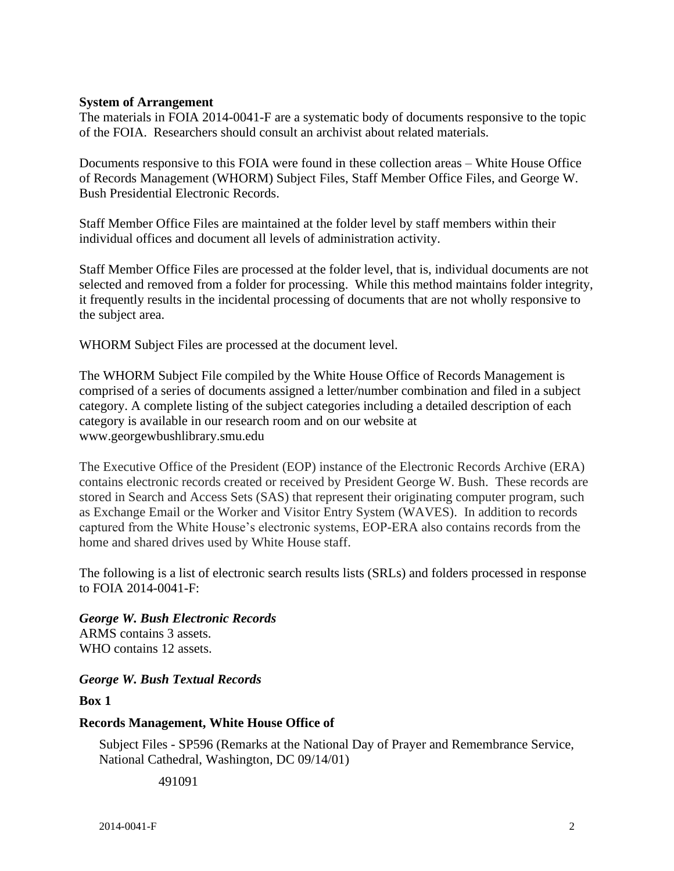#### **System of Arrangement**

The materials in FOIA 2014-0041-F are a systematic body of documents responsive to the topic of the FOIA. Researchers should consult an archivist about related materials.

Documents responsive to this FOIA were found in these collection areas – White House Office of Records Management (WHORM) Subject Files, Staff Member Office Files, and George W. Bush Presidential Electronic Records.

Staff Member Office Files are maintained at the folder level by staff members within their individual offices and document all levels of administration activity.

Staff Member Office Files are processed at the folder level, that is, individual documents are not selected and removed from a folder for processing. While this method maintains folder integrity, it frequently results in the incidental processing of documents that are not wholly responsive to the subject area.

WHORM Subject Files are processed at the document level.

The WHORM Subject File compiled by the White House Office of Records Management is comprised of a series of documents assigned a letter/number combination and filed in a subject category. A complete listing of the subject categories including a detailed description of each category is available in our research room and on our website at <www.georgewbushlibrary.smu.edu>

The Executive Office of the President (EOP) instance of the Electronic Records Archive (ERA) contains electronic records created or received by President George W. Bush. These records are stored in Search and Access Sets (SAS) that represent their originating computer program, such as Exchange Email or the Worker and Visitor Entry System (WAVES). In addition to records captured from the White House's electronic systems, EOP-ERA also contains records from the home and shared drives used by White House staff.

The following is a list of electronic search results lists (SRLs) and folders processed in response to FOIA 2014-0041-F:

*George W. Bush Electronic Records*  ARMS contains 3 assets. WHO contains 12 assets.

*George W. Bush Textual Records* 

**Box 1** 

#### **Records Management, White House Office of**

Subject Files - SP596 (Remarks at the National Day of Prayer and Remembrance Service, National Cathedral, Washington, DC 09/14/01)

491091